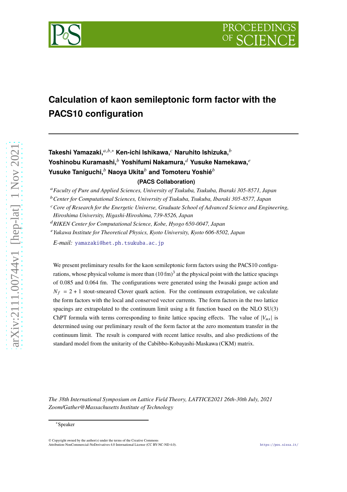

# **Calculation of kaon semileptonic form factor with the PACS10 configuration**

**Takeshi Yamazaki.**<sup>*a,b,∗*</sup> Ken-ichi Ishikawa.<sup>*c*</sup> Naruhito Ishizuka.<sup>*b*</sup> **Yoshinobu Kuramashi,**<sup> $b$ </sup> Yoshifumi Nakamura,<sup> $d$ </sup> Yusuke Namekawa,<sup> $e$ </sup> **Yusuke Taniguchi,**<sup>b</sup> Naoya Ukita<sup>b</sup> and Tomoteru Yoshié<sup>b</sup> **(PACS Collaboration)**

<sup>𝑎</sup>*Faculty of Pure and Applied Sciences, University of Tsukuba, Tsukuba, Ibaraki 305-8571, Japan*

<sup>𝑏</sup>*Center for Computational Sciences, University of Tsukuba, Tsukuba, Ibaraki 305-8577, Japan*

<sup>c</sup> Core of Research for the Energetic Universe, Graduate School of Advanced Science and Engineering,

<sup>𝑑</sup>*RIKEN Center for Computational Science, Kobe, Hyogo 650-0047, Japan*

<sup>𝑒</sup>*Yukawa Institute for Theoretical Physics, Kyoto University, Kyoto 606-8502, Japan*

*E-mail:* [yamazaki@het.ph.tsukuba.ac.jp](mailto:yamazaki@het.ph.tsukuba.ac.jp)

We present preliminary results for the kaon semileptonic form factors using the PACS10 configurations, whose physical volume is more than  $(10 \text{ fm})^3$  at the physical point with the lattice spacings of 0.085 and 0.064 fm. The configurations were generated using the Iwasaki gauge action and  $N_f = 2 + 1$  stout-smeared Clover quark action. For the continuum extrapolation, we calculate the form factors with the local and conserved vector currents. The form factors in the two lattice spacings are extrapolated to the continuum limit using a fit function based on the NLO SU(3) ChPT formula with terms corresponding to finite lattice spacing effects. The value of  $|V_{\mu s}|$  is determined using our preliminary result of the form factor at the zero momentum transfer in the continuum limit. The result is compared with recent lattice results, and also predictions of the standard model from the unitarity of the Cabibbo-Kobayashi-Maskawa (CKM) matrix.

*The 38th International Symposium on Lattice Field Theory, LATTICE2021 26th-30th July, 2021 Zoom/Gather@Massachusetts Institute of Technology*

*Hiroshima University, Higashi-Hiroshima, 739-8526, Japan*

<sup>∗</sup>Speaker

<sup>©</sup> Copyright owned by the author(s) under the terms of the Creative Commons Attribution-NonCommercial-NoDerivatives 4.0 International License (CC BY-NC-ND 4.0). <https://pos.sissa.it/>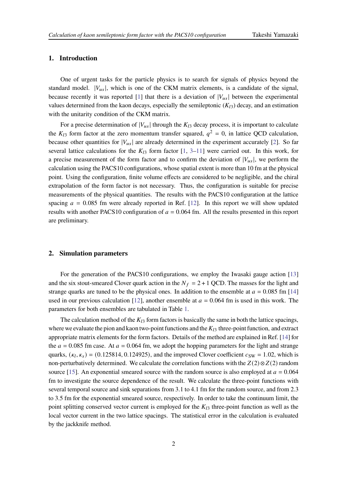# **1. Introduction**

One of urgent tasks for the particle physics is to search for signals of physics beyond the standard model.  $|V_{\mu s}|$ , which is one of the CKM matrix elements, is a candidate of the signal, because recently it was reported [\[1](#page-7-0)] that there is a deviation of  $|V_{us}|$  between the experimental values determined from the kaon decays, especially the semileptonic  $(K_{13})$  decay, and an estimation with the unitarity condition of the CKM matrix.

For a precise determination of  $|V_{us}|$  through the  $K_{l3}$  decay process, it is important to calculate the  $K_{l3}$  form factor at the zero momentum transfer squared,  $q^2 = 0$ , in lattice QCD calculation, because other quantities for  $|V_{us}|$  are already determined in the experiment accurately [\[2\]](#page-7-1). So far several lattice calculations for the  $K_{13}$  $K_{13}$  $K_{13}$  form factor [\[1,](#page-7-0) 3[–11](#page-8-0)] were carried out. In this work, for a precise measurement of the form factor and to confirm the deviation of  $|V_{us}|$ , we perform the calculation using the PACS10 configurations, whose spatial extent is more than 10 fm at the physical point. Using the configuration, finite volume effects are considered to be negligible, and the chiral extrapolation of the form factor is not necessary. Thus, the configuration is suitable for precise measurements of the physical quantities. The results with the PACS10 configuration at the lattice spacing  $a = 0.085$  fm were already reported in Ref. [\[12](#page-8-1)]. In this report we will show updated results with another PACS10 configuration of  $a = 0.064$  fm. All the results presented in this report are preliminary.

# **2. Simulation parameters**

For the generation of the PACS10 configurations, we employ the Iwasaki gauge action [\[13](#page-8-2)] and the six stout-smeared Clover quark action in the  $N_f = 2 + 1$  QCD. The masses for the light and strange quarks are tuned to be the physical ones. In addition to the ensemble at  $a = 0.085$  fm [\[14](#page-8-3)] used in our previous calculation [\[12](#page-8-1)], another ensemble at  $a = 0.064$  fm is used in this work. The parameters for both ensembles are tabulated in Table [1.](#page-2-0)

The calculation method of the  $K_{l3}$  form factors is basically the same in both the lattice spacings, where we evaluate the pion and kaon two-point functions and the  $K_{13}$  three-point function, and extract appropriate matrix elements for the form factors. Details of the method are explained in Ref. [\[14](#page-8-3)] for the  $a = 0.085$  fm case. At  $a = 0.064$  fm, we adopt the hopping parameters for the light and strange quarks,  $(\kappa_l, \kappa_s) = (0.125814, 0.124925)$ , and the improved Clover coefficient  $c_{SW} = 1.02$ , which is non-perturbatively determined. We calculate the correlation functions with the  $Z(2) \otimes Z(2)$  random source [\[15](#page-8-4)]. An exponential smeared source with the random source is also employed at  $a = 0.064$ fm to investigate the source dependence of the result. We calculate the three-point functions with several temporal source and sink separations from 3.1 to 4.1 fm for the random source, and from 2.3 to 3.5 fm for the exponential smeared source, respectively. In order to take the continuum limit, the point splitting conserved vector current is employed for the  $K_{13}$  three-point function as well as the local vector current in the two lattice spacings. The statistical error in the calculation is evaluated by the jackknife method.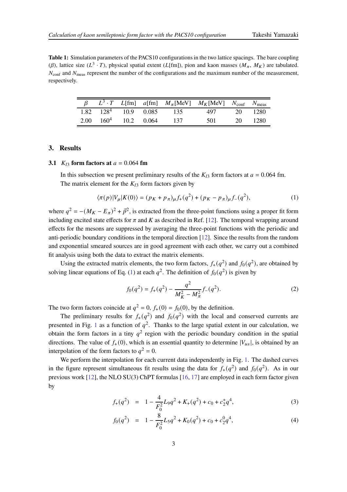<span id="page-2-0"></span>**Table 1:** Simulation parameters of the PACS10 configurations in the two lattice spacings. The bare coupling ( $\beta$ ), lattice size ( $L^3 \cdot T$ ), physical spatial extent ( $L[\text{fm}]$ ), pion and kaon masses ( $M_{\pi}$ ,  $M_K$ ) are tabulated.  $N_{\text{conf}}$  and  $N_{\text{meas}}$  represent the number of the configurations and the maximum number of the measurement, respectively.

|                                           |  |     | $L^3 \cdot T$ L[fm] a[fm] $M_\pi$ [MeV] $M_K$ [MeV] $N_{\text{conf}}$ $N_{\text{meas}}$ |     |      |
|-------------------------------------------|--|-----|-----------------------------------------------------------------------------------------|-----|------|
| $1.82 \quad 128^4 \quad 10.9 \quad 0.085$ |  | 135 | 497                                                                                     | 20. | 1280 |
| 2.00 $160^4$ 10.2 0.064                   |  | 137 | 501                                                                                     | 20. | 1280 |

# **3. Results**

# **3.1**  $K_{13}$  form factors at  $a = 0.064$  fm

In this subsection we present preliminary results of the  $K_{13}$  form factors at  $a = 0.064$  fm. The matrix element for the  $K_{13}$  form factors given by

<span id="page-2-1"></span>
$$
\langle \pi(p)|V_{\mu}|K(0)\rangle = (p_K + p_\pi)_{\mu}f_+(q^2) + (p_K - p_\pi)_{\mu}f_-(q^2),\tag{1}
$$

where  $q^2 = -(M_K - E_\pi)^2 + \vec{p}^2$ , is extracted from the three-point functions using a proper fit form including excited state effects for  $\pi$  and  $K$  as described in Ref. [\[12](#page-8-1)]. The temporal wrapping around effects for the mesons are suppressed by averaging the three-point functions with the periodic and anti-periodic boundary conditions in the temporal direction [\[12](#page-8-1)]. Since the results from the random and exponential smeared sources are in good agreement with each other, we carry out a combined fit analysis using both the data to extract the matrix elements.

Using the extracted matrix elements, the two form factors,  $f_+(q^2)$  and  $f_0(q^2)$ , are obtained by solving linear equations of Eq. [\(1\)](#page-2-1) at each  $q^2$ . The definition of  $f_0(q^2)$  is given by

$$
f_0(q^2) = f_+(q^2) - \frac{q^2}{M_K^2 - M_\pi^2} f_-(q^2). \tag{2}
$$

The two form factors coincide at  $q^2 = 0$ ,  $f_+(0) = f_0(0)$ , by the definition.

The preliminary results for  $f_+(q^2)$  and  $f_0(q^2)$  with the local and conserved currents are presented in Fig. [1](#page-3-0) as a function of  $q^2$ . Thanks to the large spatial extent in our calculation, we obtain the form factors in a tiny  $q^2$  region with the periodic boundary condition in the spatial directions. The value of  $f_+(0)$ , which is an essential quantity to determine  $|V_{us}|$ , is obtained by an interpolation of the form factors to  $q^2 = 0$ .

We perform the interpolation for each current data independently in Fig. [1.](#page-3-0) The dashed curves in the figure represent simultaneous fit results using the data for  $f_+(q^2)$  and  $f_0(q^2)$ . As in our previous work [\[12\]](#page-8-1), the NLO SU(3) ChPT formulas [\[16,](#page-8-5) [17\]](#page-8-6) are employed in each form factor given by

<span id="page-2-2"></span>
$$
f_{+}(q^{2}) = 1 - \frac{4}{F_{0}^{2}}L_{9}q^{2} + K_{+}(q^{2}) + c_{0} + c_{2}^{+}q^{4}, \qquad (3)
$$

$$
f_0(q^2) = 1 - \frac{8}{F_0^2} L_5 q^2 + K_0(q^2) + c_0 + c_2^0 q^4,
$$
 (4)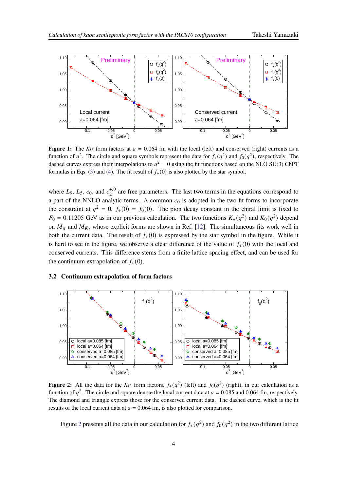<span id="page-3-0"></span>

**Figure 1:** The  $K_{13}$  form factors at  $a = 0.064$  fm with the local (left) and conserved (right) currents as a function of  $q^2$ . The circle and square symbols represent the data for  $f_+(q^2)$  and  $f_0(q^2)$ , respectively. The dashed curves express their interpolations to  $q^2 = 0$  using the fit functions based on the NLO SU(3) ChPT formulas in Eqs. [\(3\)](#page-2-2) and [\(4\)](#page-2-2). The fit result of  $f_{+}(0)$  is also plotted by the star symbol.

where  $L_9$ ,  $L_5$ ,  $c_0$ , and  $c_2^{+,0}$  $2<sup>+,0</sup>$  are free parameters. The last two terms in the equations correspond to a part of the NNLO analytic terms. A common  $c_0$  is adopted in the two fit forms to incorporate the constraint at  $q^2 = 0$ ,  $f_+(0) = f_0(0)$ . The pion decay constant in the chiral limit is fixed to  $F_0 = 0.11205$  GeV as in our previous calculation. The two functions  $K_+(q^2)$  and  $K_0(q^2)$  depend on  $M_{\pi}$  and  $M_K$ , whose explicit forms are shown in Ref. [\[12](#page-8-1)]. The simultaneous fits work well in both the current data. The result of  $f_{+}(0)$  is expressed by the star symbol in the figure. While it is hard to see in the figure, we observe a clear difference of the value of  $f_{+}(0)$  with the local and conserved currents. This difference stems from a finite lattice spacing effect, and can be used for the continuum extrapolation of  $f_{+}(0)$ .

#### <span id="page-3-1"></span>**3.2 Continuum extrapolation of form factors**



**Figure 2:** All the data for the  $K_{13}$  form factors,  $f_+(q^2)$  (left) and  $f_0(q^2)$  (right), in our calculation as a function of  $q^2$ . The circle and square denote the local current data at  $a = 0.085$  and 0.064 fm, respectively. The diamond and triangle express those for the conserved current data. The dashed curve, which is the fit results of the local current data at  $a = 0.064$  fm, is also plotted for comparison.

Figure [2](#page-3-1) presents all the data in our calculation for  $f_+(q^2)$  and  $f_0(q^2)$  in the two different lattice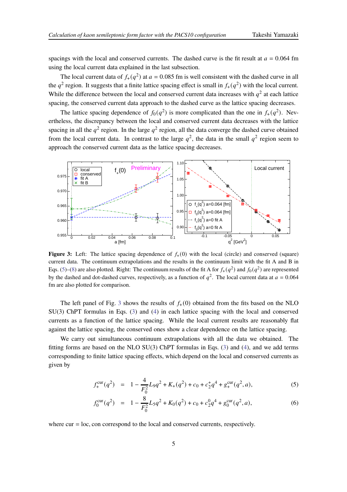spacings with the local and conserved currents. The dashed curve is the fit result at  $a = 0.064$  fm using the local current data explained in the last subsection.

The local current data of  $f_+(q^2)$  at  $a = 0.085$  fm is well consistent with the dashed curve in all the  $q^2$  region. It suggests that a finite lattice spacing effect is small in  $f_+(q^2)$  with the local current. While the difference between the local and conserved current data increases with  $q^2$  at each lattice spacing, the conserved current data approach to the dashed curve as the lattice spacing decreases.

The lattice spacing dependence of  $f_0(q^2)$  is more complicated than the one in  $f_+(q^2)$ . Nevertheless, the discrepancy between the local and conserved current data decreases with the lattice spacing in all the  $q^2$  region. In the large  $q^2$  region, all the data converge the dashed curve obtained from the local current data. In contrast to the large  $q^2$ , the data in the small  $q^2$  region seem to approach the conserved current data as the lattice spacing decreases.

<span id="page-4-1"></span>

**Figure 3:** Left: The lattice spacing dependence of  $f_{+}(0)$  with the local (circle) and conserved (square) current data. The continuum extrapolations and the results in the continuum limit with the fit A and B in Eqs. [\(5\)](#page-4-0)–[\(8\)](#page-5-0) are also plotted. Right: The continuum results of the fit A for  $f_+(q^2)$  and  $f_0(q^2)$  are represented by the dashed and dot-dashed curves, respectively, as a function of  $q^2$ . The local current data at  $a = 0.064$ fm are also plotted for comparison.

The left panel of Fig. [3](#page-4-1) shows the results of  $f_{+}(0)$  obtained from the fits based on the NLO SU(3) ChPT formulas in Eqs. [\(3\)](#page-2-2) and [\(4\)](#page-2-2) in each lattice spacing with the local and conserved currents as a function of the lattice spacing. While the local current results are reasonably flat against the lattice spacing, the conserved ones show a clear dependence on the lattice spacing.

We carry out simultaneous continuum extrapolations with all the data we obtained. The fitting forms are based on the NLO SU(3) ChPT formulas in Eqs. [\(3\)](#page-2-2) and [\(4\)](#page-2-2), and we add terms corresponding to finite lattice spacing effects, which depend on the local and conserved currents as given by

<span id="page-4-0"></span>
$$
f_{+}^{\text{cur}}(q^2) = 1 - \frac{4}{F_0^2} L_9 q^2 + K_+(q^2) + c_0 + c_2^+ q^4 + g_{+}^{\text{cur}}(q^2, a), \tag{5}
$$

$$
f_0^{\text{cur}}(q^2) = 1 - \frac{8}{F_0^2} L_5 q^2 + K_0(q^2) + c_0 + c_2^0 q^4 + g_0^{\text{cur}}(q^2, a), \tag{6}
$$

where  $cur = loc$ , con correspond to the local and conserved currents, respectively.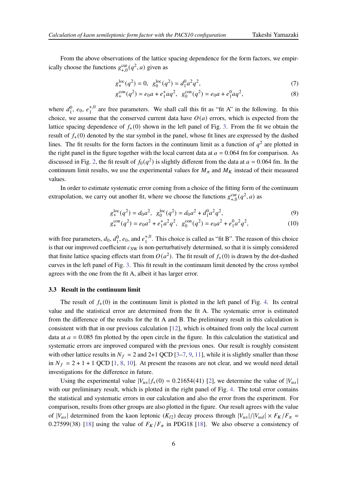From the above observations of the lattice spacing dependence for the form factors, we empirically choose the functions  $g_{+,0}^{\text{cur}}(q^2, a)$  given as

<span id="page-5-0"></span>
$$
g_{+}^{\text{loc}}(q^2) = 0, \ \ g_0^{\text{loc}}(q^2) = d_1^0 a^2 q^2,\tag{7}
$$

$$
g_{+}^{\text{con}}(q^2) = e_0 a + e_1^{\dagger} a q^2, \ \ g_0^{\text{con}}(q^2) = e_0 a + e_1^0 a q^2,\tag{8}
$$

where  $d_1^0$ ,  $e_0$ ,  $e_1^{+,0}$  $1<sup>1,0</sup>$  are free parameters. We shall call this fit as "fit A" in the following. In this choice, we assume that the conserved current data have  $O(a)$  errors, which is expected from the lattice spacing dependence of  $f_{+}(0)$  shown in the left panel of Fig. [3.](#page-4-1) From the fit we obtain the result of  $f_{+}(0)$  denoted by the star symbol in the panel, whose fit lines are expressed by the dashed lines. The fit results for the form factors in the continuum limit as a function of  $q^2$  are plotted in the right panel in the figure together with the local current data at  $a = 0.064$  fm for comparison. As discussed in Fig. [2,](#page-3-1) the fit result of  $f_0(q^2)$  is slightly different from the data at  $a = 0.064$  fm. In the continuum limit results, we use the experimental values for  $M_{\pi}$  and  $M_K$  instead of their measured values.

In order to estimate systematic error coming from a choice of the fitting form of the continuum extrapolation, we carry out another fit, where we choose the functions  $g_{+,0}^{\text{cur}}(q^2, a)$  as

$$
g_{+}^{\text{loc}}(q^2) = d_0 a^2, \ \ g_0^{\text{loc}}(q^2) = d_0 a^2 + d_1^0 a^2 q^2,\tag{9}
$$

$$
g_{+}^{\text{con}}(q^{2}) = e_{0}a^{2} + e_{1}^{+}a^{2}q^{2}, \ \ g_{0}^{\text{con}}(q^{2}) = e_{0}a^{2} + e_{1}^{0}a^{2}q^{2}, \tag{10}
$$

with free parameters,  $d_0$ ,  $d_1^0$ ,  $e_0$ , and  $e_1^{+,0}$  $1<sup>+,0</sup>$ . This choice is called as "fit B". The reason of this choice is that our improved coefficient  $c_{SW}$  is non-perturbatively determined, so that it is simply considered that finite lattice spacing effects start from  $O(a^2)$ . The fit result of  $f_+(0)$  is drawn by the dot-dashed curves in the left panel of Fig. [3.](#page-4-1) This fit result in the continuum limit denoted by the cross symbol agrees with the one from the fit A, albeit it has larger error.

#### **3.3 Result in the continuum limit**

The result of  $f_{+}(0)$  in the continuum limit is plotted in the left panel of Fig. [4.](#page-6-0) Its central value and the statistical error are determined from the fit A. The systematic error is estimated from the difference of the results for the fit A and B. The preliminary result in this calculation is consistent with that in our previous calculation [\[12](#page-8-1)], which is obtained from only the local current data at  $a = 0.085$  fm plotted by the open circle in the figure. In this calculation the statistical and systematic errors are improved compared with the previous ones. Our result is roughly consistent with other lattice results in  $N_f = 2$  and 2+1 QCD [\[3](#page-7-2)[–7,](#page-7-3) [9](#page-8-7), [11](#page-8-0)], while it is slightly smaller than those in  $N_f = 2 + 1 + 1$  QCD [\[1](#page-7-0), [8,](#page-7-4) [10](#page-8-8)]. At present the reasons are not clear, and we would need detail investigations for the difference in future.

Using the experimental value  $|V_{us}| f_+(0) = 0.21654(41)$  [\[2](#page-7-1)], we determine the value of  $|V_{us}|$ with our preliminary result, which is plotted in the right panel of Fig. [4.](#page-6-0) The total error contains the statistical and systematic errors in our calculation and also the error from the experiment. For comparison, results from other groups are also plotted in the figure. Our result agrees with the value of  $|V_{us}|$  determined from the kaon leptonic  $(K_{l2})$  decay process through  $|V_{us}|/|V_{ud}| \times F_K/F_{\pi} =$ 0.27599(38) [\[18](#page-8-9)] using the value of  $F_K/F_\pi$  in PDG18 [\[18\]](#page-8-9). We also observe a consistency of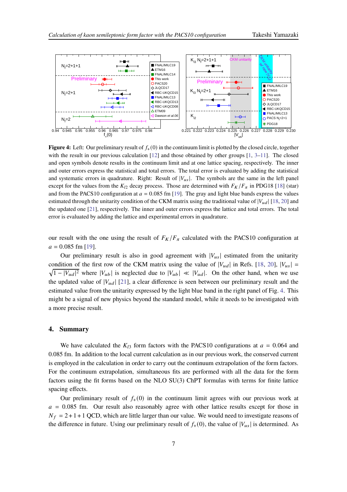<span id="page-6-0"></span>

**Figure 4:** Left: Our preliminary result of  $f_{+}(0)$  in the continuum limit is plotted by the closed circle, together with the result in our previous calculation  $[12]$  and those obtained by other groups  $[1, 3-11]$  $[1, 3-11]$  $[1, 3-11]$ . The closed and open symbols denote results in the continuum limit and at one lattice spacing, respectively. The inner and outer errors express the statistical and total errors. The total error is evaluated by adding the statistical and systematic errors in quadrature. Right: Result of  $|V_{us}|$ . The symbols are the same in the left panel except for the values from the  $K_{12}$  decay process. Those are determined with  $F_K/F_{\pi}$  in PDG18 [\[18\]](#page-8-9) (star) and from the PACS10 configuration at  $a = 0.085$  fm [\[19](#page-8-10)]. The gray and light blue bands express the values estimated through the unitarity condition of the CKM matrix using the traditional value of  $|V_{ud}|$  [\[18](#page-8-9), [20](#page-8-11)] and the updated one [\[21](#page-8-12)], respectively. The inner and outer errors express the lattice and total errors. The total error is evaluated by adding the lattice and experimental errors in quadrature.

our result with the one using the result of  $F_K/F_\pi$  calculated with the PACS10 configuration at  $a = 0.085$  fm [\[19\]](#page-8-10).

Our preliminary result is also in good agreement with  $|V_{us}|$  estimated from the unitarity condition of the first row of the CKM matrix using the value of  $|V_{ud}|$  in Refs. [\[18](#page-8-9), [20](#page-8-11)],  $|V_{us}|$  =  $\sqrt{1 - |V_{ud}|^2}$  where  $|V_{ub}|$  is neglected due to  $|V_{ub}| \ll |V_{ud}|$ . On the other hand, when we use the updated value of  $|V_{ud}|$  [\[21](#page-8-12)], a clear difference is seen between our preliminary result and the estimated value from the unitarity expressed by the light blue band in the right panel of Fig. [4.](#page-6-0) This might be a signal of new physics beyond the standard model, while it needs to be investigated with a more precise result.

#### **4. Summary**

We have calculated the  $K_{13}$  form factors with the PACS10 configurations at  $a = 0.064$  and 0.085 fm. In addition to the local current calculation as in our previous work, the conserved current is employed in the calculation in order to carry out the continuum extrapolation of the form factors. For the continuum extrapolation, simultaneous fits are performed with all the data for the form factors using the fit forms based on the NLO SU(3) ChPT formulas with terms for finite lattice spacing effects.

Our preliminary result of  $f_{+}(0)$  in the continuum limit agrees with our previous work at  $a = 0.085$  fm. Our result also reasonably agree with other lattice results except for those in  $N_f = 2 + 1 + 1$  QCD, which are little larger than our value. We would need to investigate reasons of the difference in future. Using our preliminary result of  $f_{+}(0)$ , the value of  $|V_{us}|$  is determined. As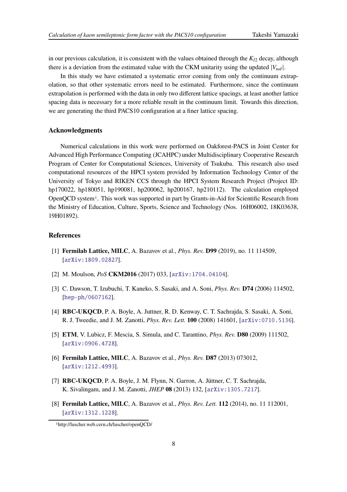in our previous calculation, it is consistent with the values obtained through the  $K_{12}$  decay, although there is a deviation from the estimated value with the CKM unitarity using the updated  $|V_{ud}|$ .

In this study we have estimated a systematic error coming from only the continuum extrapolation, so that other systematic errors need to be estimated. Furthermore, since the continuum extrapolation is performed with the data in only two different lattice spacings, at least another lattice spacing data is necessary for a more reliable result in the continuum limit. Towards this direction, we are generating the third PACS10 configuration at a finer lattice spacing.

# **Acknowledgments**

Numerical calculations in this work were performed on Oakforest-PACS in Joint Center for Advanced High Performance Computing (JCAHPC) under Multidisciplinary Cooperative Research Program of Center for Computational Sciences, University of Tsukuba. This research also used computational resources of the HPCI system provided by Information Technology Center of the University of Tokyo and RIKEN CCS through the HPCI System Research Project (Project ID: hp170022, hp180051, hp190081, hp200062, hp200167, hp210112). The calculation employed OpenQCD system[1](#page-7-5). This work was supported in part by Grants-in-Aid for Scientific Research from the Ministry of Education, Culture, Sports, Science and Technology (Nos. 16H06002, 18K03638, 19H01892).

# **References**

- <span id="page-7-0"></span>[1] **Fermilab Lattice, MILC**, A. Bazavov et al., *Phys. Rev.* **D99** (2019), no. 11 114509, [[arXiv:1809.02827](http://arxiv.org/abs/1809.02827)].
- <span id="page-7-1"></span>[2] M. Moulson, *PoS* **CKM2016** (2017) 033, [[arXiv:1704.04104](http://arxiv.org/abs/1704.04104)].
- <span id="page-7-2"></span>[3] C. Dawson, T. Izubuchi, T. Kaneko, S. Sasaki, and A. Soni, *Phys. Rev.* **D74** (2006) 114502, [[hep-ph/0607162](http://arxiv.org/abs/hep-ph/0607162)].
- [4] **RBC-UKQCD**, P. A. Boyle, A. Juttner, R. D. Kenway, C. T. Sachrajda, S. Sasaki, A. Soni, R. J. Tweedie, and J. M. Zanotti, *Phys. Rev. Lett.* **100** (2008) 141601, [[arXiv:0710.5136](http://arxiv.org/abs/0710.5136)].
- [5] **ETM**, V. Lubicz, F. Mescia, S. Simula, and C. Tarantino, *Phys. Rev.* **D80** (2009) 111502, [[arXiv:0906.4728](http://arxiv.org/abs/0906.4728)].
- [6] **Fermilab Lattice, MILC**, A. Bazavov et al., *Phys. Rev.* **D87** (2013) 073012, [[arXiv:1212.4993](http://arxiv.org/abs/1212.4993)].
- <span id="page-7-3"></span>[7] **RBC-UKQCD**, P. A. Boyle, J. M. Flynn, N. Garron, A. Jüttner, C. T. Sachrajda, K. Sivalingam, and J. M. Zanotti, *JHEP* **08** (2013) 132, [[arXiv:1305.7217](http://arxiv.org/abs/1305.7217)].
- <span id="page-7-4"></span>[8] **Fermilab Lattice, MILC**, A. Bazavov et al., *Phys. Rev. Lett.* **112** (2014), no. 11 112001, [[arXiv:1312.1228](http://arxiv.org/abs/1312.1228)].

<span id="page-7-5"></span><sup>1</sup>http://luscher.web.cern.ch/luscher/openQCD/